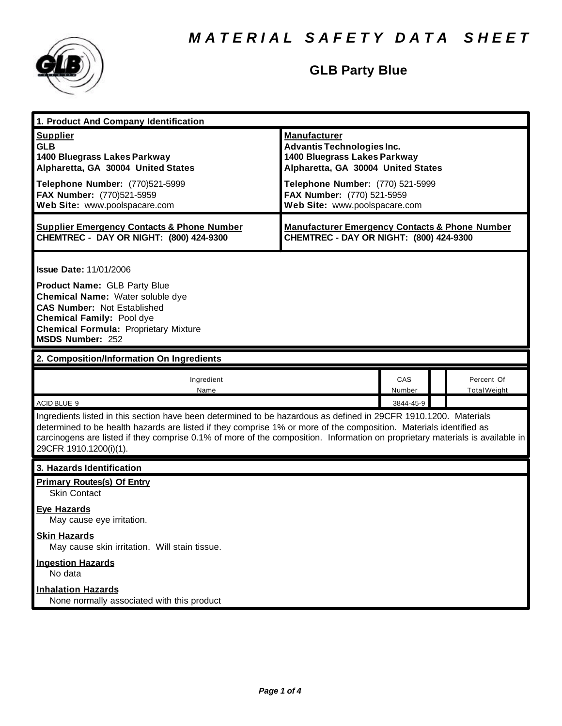

# **GLB Party Blue**

| 1. Product And Company Identification                                                                                                                                                                                                                                                                                                                                                             |                                                                                                                                |               |                                   |
|---------------------------------------------------------------------------------------------------------------------------------------------------------------------------------------------------------------------------------------------------------------------------------------------------------------------------------------------------------------------------------------------------|--------------------------------------------------------------------------------------------------------------------------------|---------------|-----------------------------------|
| <b>Supplier</b><br><b>GLB</b><br>1400 Bluegrass Lakes Parkway<br>Alpharetta, GA 30004 United States                                                                                                                                                                                                                                                                                               | <b>Manufacturer</b><br><b>Advantis Technologies Inc.</b><br>1400 Bluegrass Lakes Parkway<br>Alpharetta, GA 30004 United States |               |                                   |
| Telephone Number: (770)521-5999<br>FAX Number: (770)521-5959<br>Web Site: www.poolspacare.com                                                                                                                                                                                                                                                                                                     | Telephone Number: (770) 521-5999<br>FAX Number: (770) 521-5959<br>Web Site: www.poolspacare.com                                |               |                                   |
| <b>Supplier Emergency Contacts &amp; Phone Number</b><br>CHEMTREC - DAY OR NIGHT: (800) 424-9300                                                                                                                                                                                                                                                                                                  | <b>Manufacturer Emergency Contacts &amp; Phone Number</b><br>CHEMTREC - DAY OR NIGHT: (800) 424-9300                           |               |                                   |
| <b>Issue Date: 11/01/2006</b><br><b>Product Name: GLB Party Blue</b><br>Chemical Name: Water soluble dye<br><b>CAS Number: Not Established</b><br><b>Chemical Family: Pool dye</b><br><b>Chemical Formula: Proprietary Mixture</b><br><b>MSDS Number: 252</b>                                                                                                                                     |                                                                                                                                |               |                                   |
| 2. Composition/Information On Ingredients                                                                                                                                                                                                                                                                                                                                                         |                                                                                                                                |               |                                   |
| Ingredient<br>Name                                                                                                                                                                                                                                                                                                                                                                                |                                                                                                                                | CAS<br>Number | Percent Of<br><b>Total Weight</b> |
| ACID BLUE 9                                                                                                                                                                                                                                                                                                                                                                                       |                                                                                                                                | 3844-45-9     |                                   |
| Ingredients listed in this section have been determined to be hazardous as defined in 29CFR 1910.1200. Materials<br>determined to be health hazards are listed if they comprise 1% or more of the composition. Materials identified as<br>carcinogens are listed if they comprise 0.1% of more of the composition. Information on proprietary materials is available in<br>29CFR 1910.1200(i)(1). |                                                                                                                                |               |                                   |
|                                                                                                                                                                                                                                                                                                                                                                                                   |                                                                                                                                |               |                                   |
| 3. Hazards Identification                                                                                                                                                                                                                                                                                                                                                                         |                                                                                                                                |               |                                   |
| <b>Primary Routes(s) Of Entry</b><br><b>Skin Contact</b>                                                                                                                                                                                                                                                                                                                                          |                                                                                                                                |               |                                   |
| <b>Eye Hazards</b><br>May cause eye irritation.                                                                                                                                                                                                                                                                                                                                                   |                                                                                                                                |               |                                   |
| <b>Skin Hazards</b><br>May cause skin irritation. Will stain tissue.                                                                                                                                                                                                                                                                                                                              |                                                                                                                                |               |                                   |
| <b>Ingestion Hazards</b><br>No data                                                                                                                                                                                                                                                                                                                                                               |                                                                                                                                |               |                                   |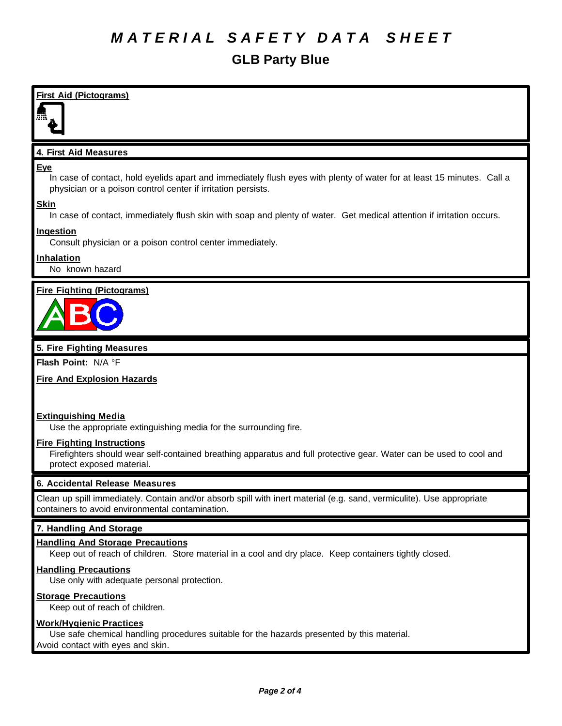# *M A T E R I A L S A F E T Y D A T A S H E E T*

# **GLB Party Blue**

**First Aid (Pictograms)**

# **4. First Aid Measures**

### **Eye**

In case of contact, hold eyelids apart and immediately flush eyes with plenty of water for at least 15 minutes. Call a physician or a poison control center if irritation persists.

# **Skin**

In case of contact, immediately flush skin with soap and plenty of water. Get medical attention if irritation occurs.

# **Ingestion**

Consult physician or a poison control center immediately.

# **Inhalation**

No known hazard

# **Fire Fighting (Pictograms)**



# **5. Fire Fighting Measures**

**Flash Point:** N/A °F

# **Fire And Explosion Hazards**

# **Extinguishing Media**

Use the appropriate extinguishing media for the surrounding fire.

#### **Fire Fighting Instructions**

Firefighters should wear self-contained breathing apparatus and full protective gear. Water can be used to cool and protect exposed material.

# **6. Accidental Release Measures**

Clean up spill immediately. Contain and/or absorb spill with inert material (e.g. sand, vermiculite). Use appropriate containers to avoid environmental contamination.

# **7. Handling And Storage**

# **Handling And Storage Precautions**

Keep out of reach of children. Store material in a cool and dry place. Keep containers tightly closed.

# **Handling Precautions**

Use only with adequate personal protection.

# **Storage Precautions**

Keep out of reach of children.

# **Work/Hygienic Practices**

Use safe chemical handling procedures suitable for the hazards presented by this material. Avoid contact with eyes and skin.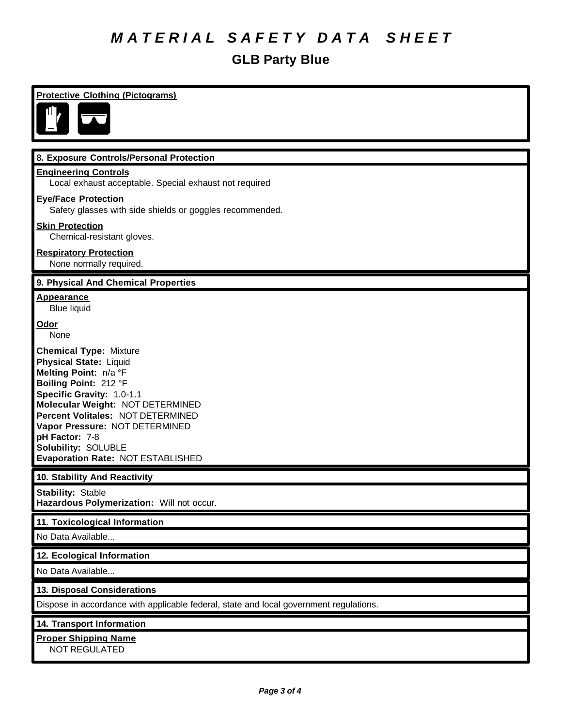# *M A T E R I A L S A F E T Y D A T A S H E E T*

# **GLB Party Blue**

| <b>Protective Clothing (Pictograms)</b>                                                                                                                                                                                                                                                                                                       |
|-----------------------------------------------------------------------------------------------------------------------------------------------------------------------------------------------------------------------------------------------------------------------------------------------------------------------------------------------|
|                                                                                                                                                                                                                                                                                                                                               |
| 8. Exposure Controls/Personal Protection                                                                                                                                                                                                                                                                                                      |
| <b>Engineering Controls</b><br>Local exhaust acceptable. Special exhaust not required                                                                                                                                                                                                                                                         |
| <b>Eye/Face Protection</b><br>Safety glasses with side shields or goggles recommended.                                                                                                                                                                                                                                                        |
| <b>Skin Protection</b><br>Chemical-resistant gloves.                                                                                                                                                                                                                                                                                          |
| <b>Respiratory Protection</b><br>None normally required.                                                                                                                                                                                                                                                                                      |
| 9. Physical And Chemical Properties                                                                                                                                                                                                                                                                                                           |
| <b>Appearance</b><br><b>Blue liquid</b>                                                                                                                                                                                                                                                                                                       |
| Odor<br>None                                                                                                                                                                                                                                                                                                                                  |
| <b>Chemical Type: Mixture</b><br><b>Physical State: Liquid</b><br>Melting Point: n/a °F<br>Boiling Point: 212 °F<br>Specific Gravity: 1.0-1.1<br>Molecular Weight: NOT DETERMINED<br>Percent Volitales: NOT DETERMINED<br>Vapor Pressure: NOT DETERMINED<br>pH Factor: 7-8<br><b>Solubility: SOLUBLE</b><br>Evaporation Rate: NOT ESTABLISHED |
| 10. Stability And Reactivity                                                                                                                                                                                                                                                                                                                  |
| <b>Stability: Stable</b><br>Hazardous Polymerization: Will not occur.                                                                                                                                                                                                                                                                         |
| 11. Toxicological Information                                                                                                                                                                                                                                                                                                                 |
| No Data Available                                                                                                                                                                                                                                                                                                                             |
| 12. Ecological Information                                                                                                                                                                                                                                                                                                                    |
| No Data Available                                                                                                                                                                                                                                                                                                                             |
| 13. Disposal Considerations                                                                                                                                                                                                                                                                                                                   |
| Dispose in accordance with applicable federal, state and local government regulations.                                                                                                                                                                                                                                                        |
| 14. Transport Information                                                                                                                                                                                                                                                                                                                     |
| <b>Proper Shipping Name</b><br><b>NOT REGULATED</b>                                                                                                                                                                                                                                                                                           |